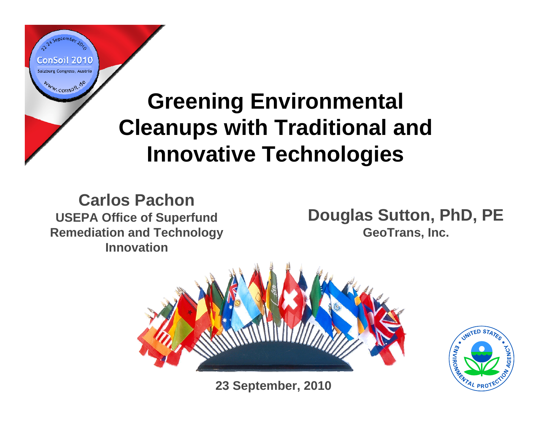#### **Greening Environmental Cleanups with Traditional and Innovative Technologies**

**Carlos PachonUSEPA Office of Superfund Remediation and Technology Innovation**

ConSoil 2010 Salzburg Congress, Austria

Www.consoil.de

**Douglas Sutton, PhD, PE GeoTrans, Inc.**



**23 September, 2010**

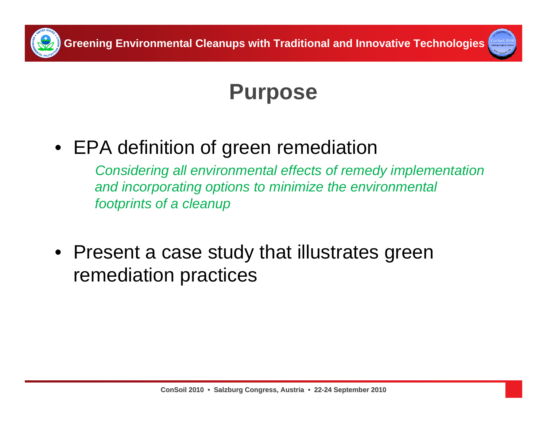



#### **Purpose**

• EPA definition of green remediation

*Considering all environmental effects of remedy implementation and incorporating options to minimize the environmental footprints of a cleanup* 

• Present a case study that illustrates green remediation practices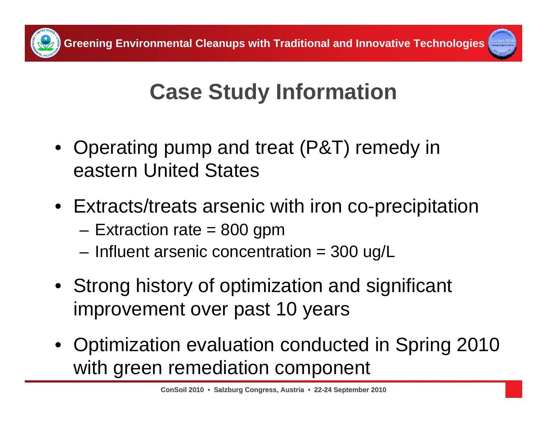



# **Case Study Information**

- Operating pump and treat (P&T) remedy in eastern United States
- Extracts/treats arsenic with iron co-precipitation
	- –Extraction rate = 800 gpm
	- Influent arsenic concentration = 300 ug/L
- Strong history of optimization and significant improvement over past 10 years
- Optimization evaluation conducted in Spring 2010 with green remediation component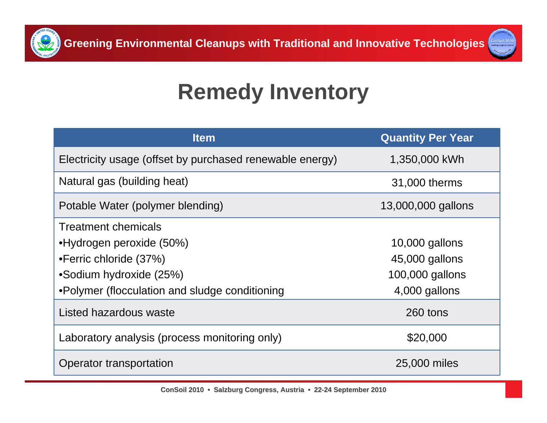



#### **Remedy Inventory**

| <b>Item</b>                                              | <b>Quantity Per Year</b> |
|----------------------------------------------------------|--------------------------|
| Electricity usage (offset by purchased renewable energy) | 1,350,000 kWh            |
| Natural gas (building heat)                              | 31,000 therms            |
| Potable Water (polymer blending)                         | 13,000,000 gallons       |
| <b>Treatment chemicals</b>                               |                          |
| •Hydrogen peroxide (50%)                                 | $10,000$ gallons         |
| •Ferric chloride (37%)                                   | 45,000 gallons           |
| •Sodium hydroxide (25%)                                  | 100,000 gallons          |
| •Polymer (flocculation and sludge conditioning           | 4,000 gallons            |
| Listed hazardous waste                                   | 260 tons                 |
| Laboratory analysis (process monitoring only)            | \$20,000                 |
| Operator transportation                                  | 25,000 miles             |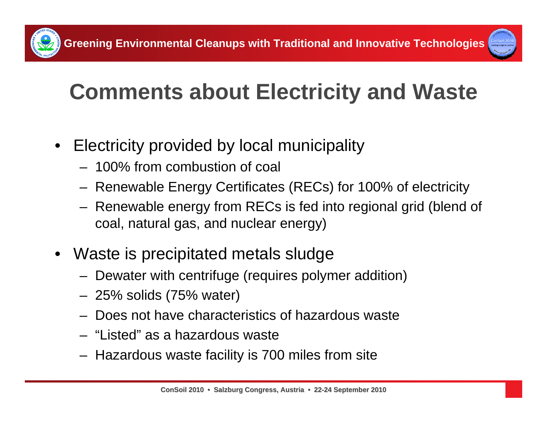

# **Comments about Electricity and Waste**

- Electricity provided by local municipality
	- 100% from combustion of coal
	- Renewable Energy Certificates (RECs) for 100% of electricity
	- Renewable energy from RECs is fed into regional grid (blend of coal, natural gas, and nuclear energy)
- • Waste is precipitated metals sludge
	- Dewater with centrifuge (requires polymer addition)
	- 25% solids (75% water)
	- Does not have characteristics of hazardous waste
	- "Listed" as a hazardous waste
	- Hazardous waste facility is 700 miles from site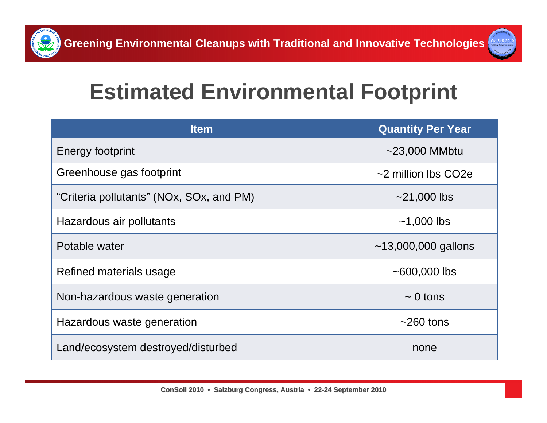



#### **Estimated Environmental Footprint**

| <b>Item</b>                              | <b>Quantity Per Year</b>  |
|------------------------------------------|---------------------------|
| Energy footprint                         | $\sim$ 23,000 MMbtu       |
| Greenhouse gas footprint                 | $\sim$ 2 million lbs CO2e |
| "Criteria pollutants" (NOx, SOx, and PM) | $~21,000$ lbs             |
| Hazardous air pollutants                 | $~1,000$ lbs              |
| Potable water                            | $~13,000,000$ gallons     |
| Refined materials usage                  | $~100,000$ lbs            |
| Non-hazardous waste generation           | $\sim 0$ tons             |
| Hazardous waste generation               | $~260$ tons               |
| Land/ecosystem destroyed/disturbed       | none                      |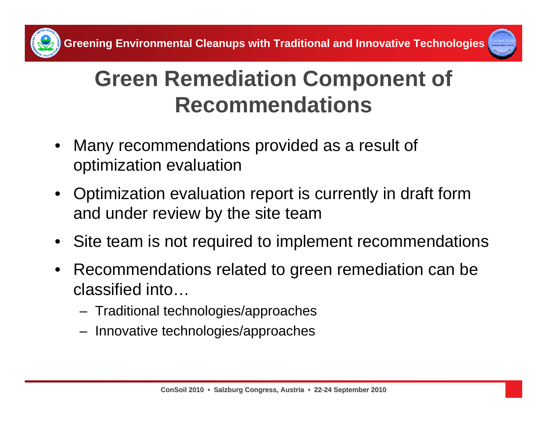

#### **Green Remediation Component of Recommendations**

- • Many recommendations provided as a result of optimization evaluation
- • Optimization evaluation report is currently in draft form and under review by the site team
- $\bullet$ Site team is not required to implement recommendations
- $\bullet$  Recommendations related to green remediation can be classified into…
	- Traditional technologies/approaches
	- Innovative technologies/approaches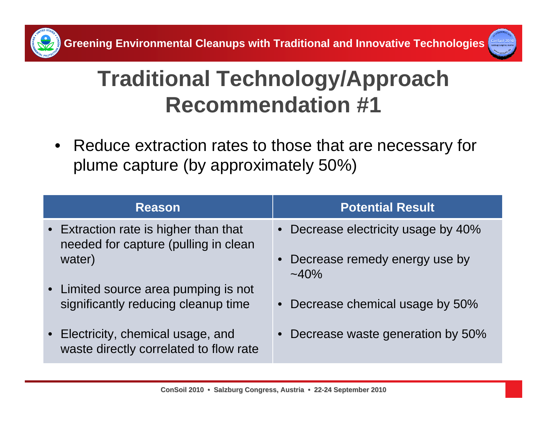



• Reduce extraction rates to those that are necessary for plume capture (by approximately 50%)

| <b>Reason</b>                                                                 | <b>Potential Result</b>                   |
|-------------------------------------------------------------------------------|-------------------------------------------|
| • Extraction rate is higher than that<br>needed for capture (pulling in clean | • Decrease electricity usage by 40%       |
| water)                                                                        | Decrease remedy energy use by<br>$~140\%$ |
| • Limited source area pumping is not<br>significantly reducing cleanup time   | • Decrease chemical usage by 50%          |
| • Electricity, chemical usage, and<br>waste directly correlated to flow rate  | Decrease waste generation by 50%          |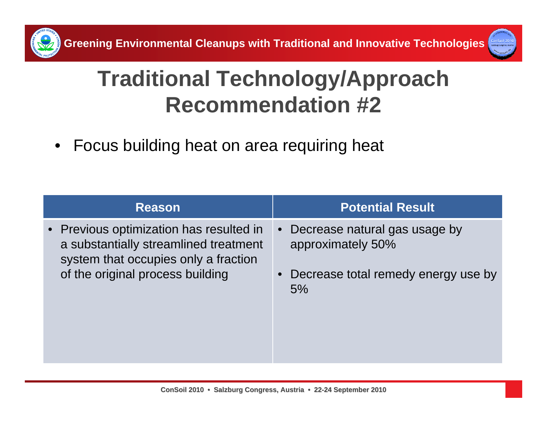

• Focus building heat on area requiring heat

| <b>Reason</b>                                                                                                                                                | <b>Potential Result</b>                                                                                      |
|--------------------------------------------------------------------------------------------------------------------------------------------------------------|--------------------------------------------------------------------------------------------------------------|
| • Previous optimization has resulted in<br>a substantially streamlined treatment<br>system that occupies only a fraction<br>of the original process building | Decrease natural gas usage by<br>$\bullet$<br>approximately 50%<br>Decrease total remedy energy use by<br>5% |
|                                                                                                                                                              |                                                                                                              |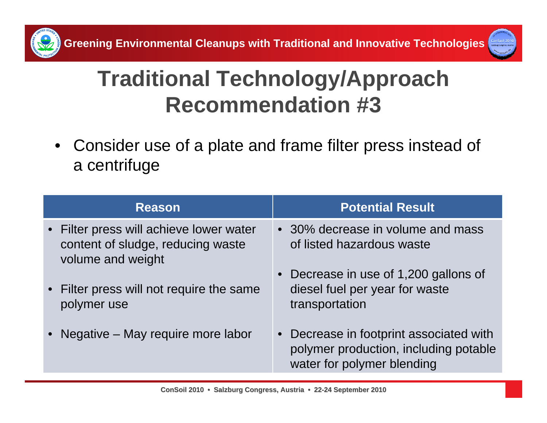

• Consider use of a plate and frame filter press instead of a centrifuge

| <b>Reason</b>                                                                                     | <b>Potential Result</b>                                                                                        |
|---------------------------------------------------------------------------------------------------|----------------------------------------------------------------------------------------------------------------|
| • Filter press will achieve lower water<br>content of sludge, reducing waste<br>volume and weight | • 30% decrease in volume and mass<br>of listed hazardous waste                                                 |
| • Filter press will not require the same<br>polymer use                                           | Decrease in use of 1,200 gallons of<br>diesel fuel per year for waste<br>transportation                        |
| • Negative – May require more labor                                                               | • Decrease in footprint associated with<br>polymer production, including potable<br>water for polymer blending |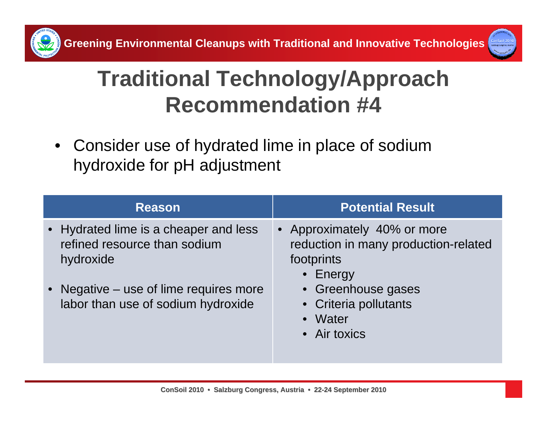



• Consider use of hydrated lime in place of sodium hydroxide for pH adjustment

| <b>Reason</b>                                                                      | <b>Potential Result</b>                                                                       |
|------------------------------------------------------------------------------------|-----------------------------------------------------------------------------------------------|
| • Hydrated lime is a cheaper and less<br>refined resource than sodium<br>hydroxide | • Approximately 40% or more<br>reduction in many production-related<br>footprints<br>• Energy |
| • Negative – use of lime requires more<br>labor than use of sodium hydroxide       | • Greenhouse gases<br>• Criteria pollutants<br>• Water<br>• Air toxics                        |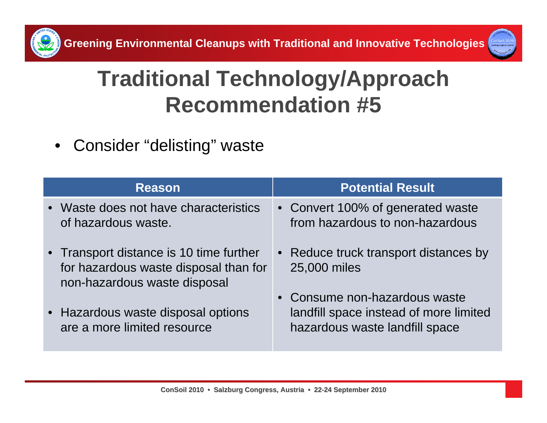



 $\bullet$ Consider "delisting" waste

| <b>Reason</b>                                                                                                    | <b>Potential Result</b>                                                                                   |
|------------------------------------------------------------------------------------------------------------------|-----------------------------------------------------------------------------------------------------------|
| • Waste does not have characteristics<br>of hazardous waste.                                                     | • Convert 100% of generated waste<br>from hazardous to non-hazardous                                      |
| • Transport distance is 10 time further<br>for hazardous waste disposal than for<br>non-hazardous waste disposal | • Reduce truck transport distances by<br>25,000 miles                                                     |
| • Hazardous waste disposal options<br>are a more limited resource                                                | • Consume non-hazardous waste<br>landfill space instead of more limited<br>hazardous waste landfill space |

**ConSoil 2010 • Salzburg Congress, Austria • 22-24 September 2010**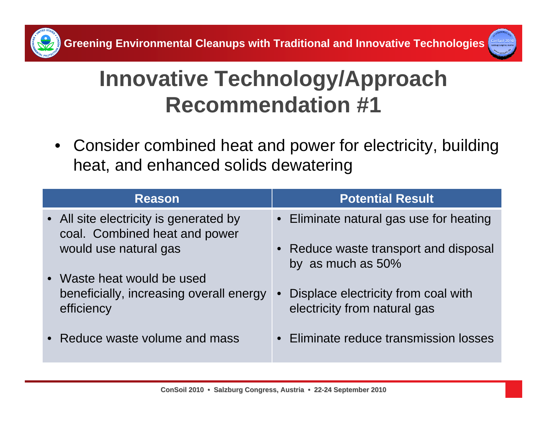



#### **Innovative Technology/Approach Recommendation #1**

• Consider combined heat and power for electricity, building heat, and enhanced solids dewatering

| <b>Reason</b>                                                                       | <b>Potential Result</b>                                                          |
|-------------------------------------------------------------------------------------|----------------------------------------------------------------------------------|
| • All site electricity is generated by<br>coal. Combined heat and power             | • Eliminate natural gas use for heating                                          |
| would use natural gas                                                               | Reduce waste transport and disposal<br>by as much as 50%                         |
| • Waste heat would be used<br>beneficially, increasing overall energy<br>efficiency | Displace electricity from coal with<br>$\bullet$<br>electricity from natural gas |
| • Reduce waste volume and mass                                                      | • Eliminate reduce transmission losses                                           |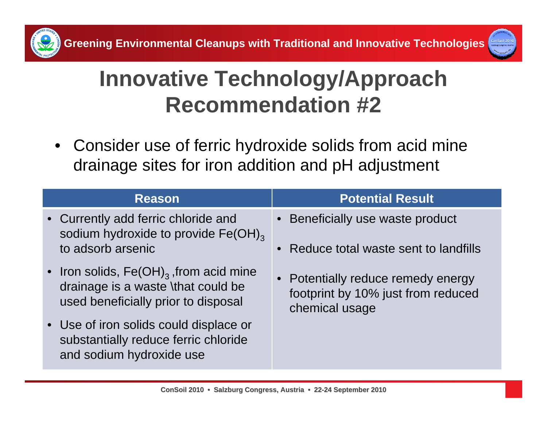



#### **Innovative Technology/Approach Recommendation #2**

 $\bullet$  Consider use of ferric hydroxide solids from acid mine drainage sites for iron addition and pH adjustment

| <b>Reason</b>                                                                                                             | <b>Potential Result</b>                                                                    |
|---------------------------------------------------------------------------------------------------------------------------|--------------------------------------------------------------------------------------------|
| • Currently add ferric chloride and<br>sodium hydroxide to provide Fe(OH) <sub>3</sub><br>to adsorb arsenic               | • Beneficially use waste product<br>• Reduce total waste sent to landfills                 |
| • Iron solids, $Fe(OH)_{3}$ , from acid mine<br>drainage is a waste \that could be<br>used beneficially prior to disposal | • Potentially reduce remedy energy<br>footprint by 10% just from reduced<br>chemical usage |
| • Use of iron solids could displace or<br>substantially reduce ferric chloride<br>and sodium hydroxide use                |                                                                                            |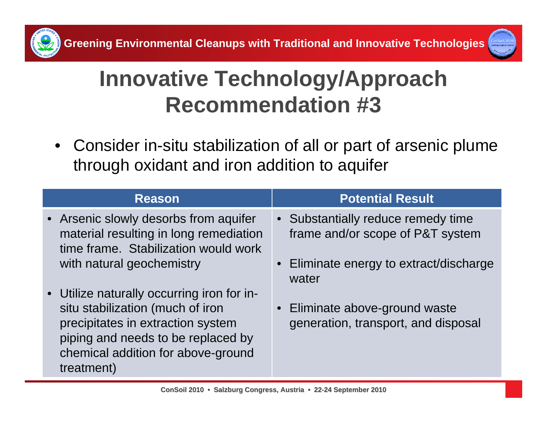



#### **Innovative Technology/Approach Recommendation #3**

• Consider in-situ stabilization of all or part of arsenic plume through oxidant and iron addition to aquifer

| <b>Reason</b>                                                                                                                                                                                                 | <b>Potential Result</b>                                                |
|---------------------------------------------------------------------------------------------------------------------------------------------------------------------------------------------------------------|------------------------------------------------------------------------|
| • Arsenic slowly desorbs from aquifer<br>material resulting in long remediation<br>time frame. Stabilization would work                                                                                       | • Substantially reduce remedy time<br>frame and/or scope of P&T system |
| with natural geochemistry                                                                                                                                                                                     | • Eliminate energy to extract/discharge<br>water                       |
| • Utilize naturally occurring iron for in-<br>situ stabilization (much of iron<br>precipitates in extraction system<br>piping and needs to be replaced by<br>chemical addition for above-ground<br>treatment) | • Eliminate above-ground waste<br>generation, transport, and disposal  |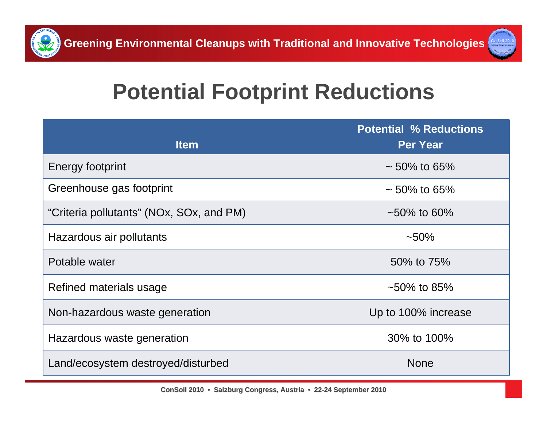



## **Potential Footprint Reductions**

| <b>Item</b>                              | <b>Potential % Reductions</b><br><b>Per Year</b> |
|------------------------------------------|--------------------------------------------------|
| Energy footprint                         | $\sim$ 50% to 65%                                |
| Greenhouse gas footprint                 | $\sim$ 50% to 65%                                |
| "Criteria pollutants" (NOx, SOx, and PM) | $\sim$ 50% to 60%                                |
| Hazardous air pollutants                 | $~10\%$                                          |
| Potable water                            | 50% to 75%                                       |
| Refined materials usage                  | $\sim 50\%$ to 85%                               |
| Non-hazardous waste generation           | Up to 100% increase                              |
| Hazardous waste generation               | 30% to 100%                                      |
| Land/ecosystem destroyed/disturbed       | <b>None</b>                                      |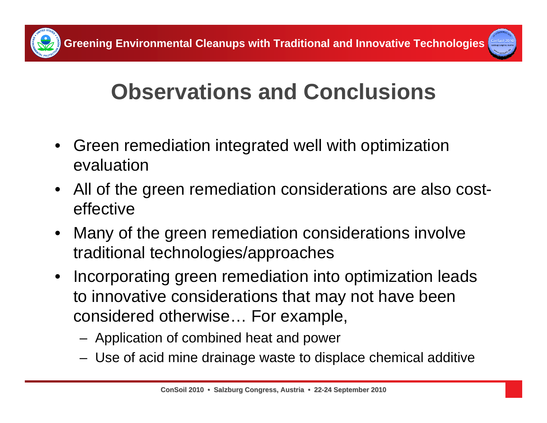

## **Observations and Conclusions**

- $\bullet$  Green remediation integrated well with optimization evaluation
- All of the green remediation considerations are also costeffective
- • Many of the green remediation considerations involve traditional technologies/approaches
- $\bullet$  Incorporating green remediation into optimization leads to innovative considerations that may not have been considered otherwise… For example,
	- Application of combined heat and power
	- Use of acid mine drainage waste to displace chemical additive